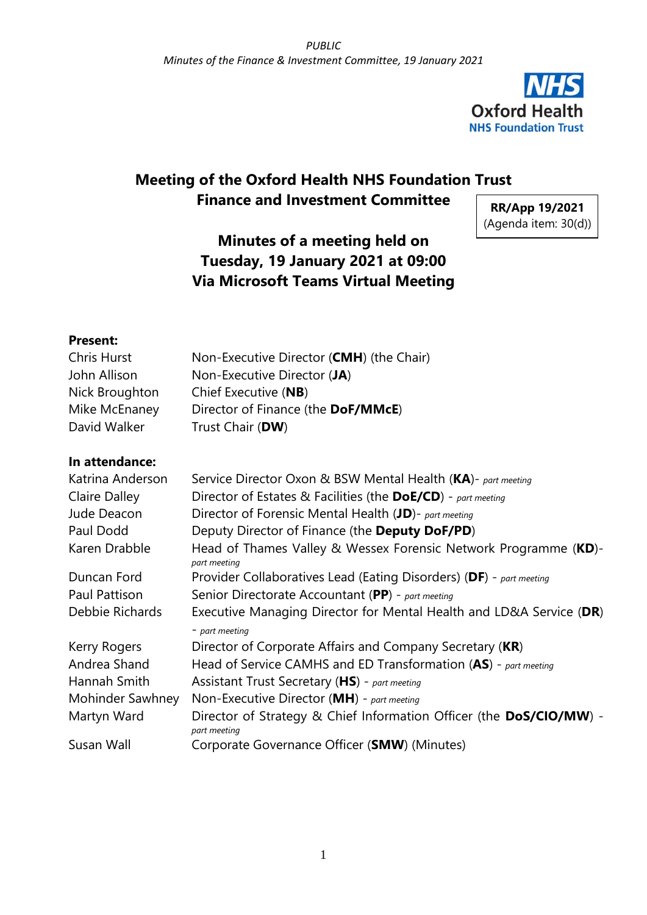

# **Meeting of the Oxford Health NHS Foundation Trust Finance and Investment Committee**

**RR/App 19/2021** (Agenda item: 30(d))

# **Minutes of a meeting held on Tuesday, 19 January 2021 at 09:00 Via Microsoft Teams Virtual Meeting**

#### **Present:**

| Chris Hurst    | Non-Executive Director (CMH) (the Chair) |
|----------------|------------------------------------------|
| John Allison   | Non-Executive Director (JA)              |
| Nick Broughton | Chief Executive (NB)                     |
| Mike McEnaney  | Director of Finance (the DoF/MMcE)       |
| David Walker   | Trust Chair (DW)                         |

#### **In attendance:**

| Katrina Anderson | Service Director Oxon & BSW Mental Health (KA)- part meeting                        |
|------------------|-------------------------------------------------------------------------------------|
| Claire Dalley    | Director of Estates & Facilities (the DoE/CD) - part meeting                        |
| Jude Deacon      | Director of Forensic Mental Health (JD)- part meeting                               |
| Paul Dodd        | Deputy Director of Finance (the Deputy DoF/PD)                                      |
| Karen Drabble    | Head of Thames Valley & Wessex Forensic Network Programme (KD)-<br>part meeting     |
| Duncan Ford      | Provider Collaboratives Lead (Eating Disorders) (DF) - part meeting                 |
| Paul Pattison    | Senior Directorate Accountant (PP) - part meeting                                   |
| Debbie Richards  | Executive Managing Director for Mental Health and LD&A Service (DR)                 |
|                  | - part meeting                                                                      |
| Kerry Rogers     | Director of Corporate Affairs and Company Secretary (KR)                            |
| Andrea Shand     | Head of Service CAMHS and ED Transformation (AS) - part meeting                     |
| Hannah Smith     | Assistant Trust Secretary (HS) - part meeting                                       |
| Mohinder Sawhney | Non-Executive Director ( $MH$ ) - part meeting                                      |
| Martyn Ward      | Director of Strategy & Chief Information Officer (the DoS/CIO/MW) -<br>part meeting |
| Susan Wall       | Corporate Governance Officer (SMW) (Minutes)                                        |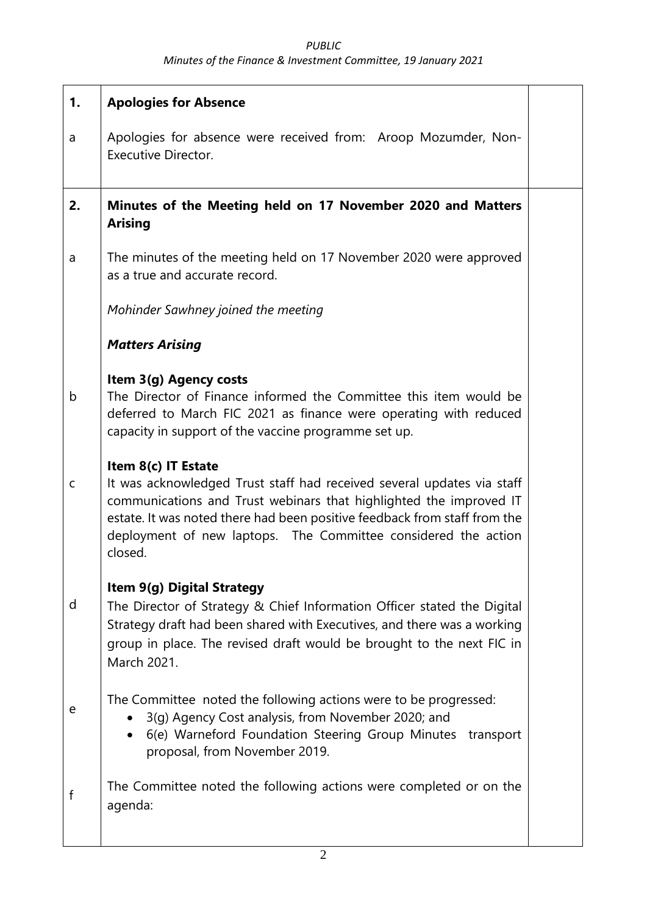#### *PUBLIC Minutes of the Finance & Investment Committee, 19 January 2021*

| 1. | <b>Apologies for Absence</b>                                                                                                                                                                                                                                                                                                  |  |
|----|-------------------------------------------------------------------------------------------------------------------------------------------------------------------------------------------------------------------------------------------------------------------------------------------------------------------------------|--|
| a  | Apologies for absence were received from: Aroop Mozumder, Non-<br><b>Executive Director.</b>                                                                                                                                                                                                                                  |  |
| 2. | Minutes of the Meeting held on 17 November 2020 and Matters<br><b>Arising</b>                                                                                                                                                                                                                                                 |  |
| a  | The minutes of the meeting held on 17 November 2020 were approved<br>as a true and accurate record.                                                                                                                                                                                                                           |  |
|    | Mohinder Sawhney joined the meeting                                                                                                                                                                                                                                                                                           |  |
|    | <b>Matters Arising</b>                                                                                                                                                                                                                                                                                                        |  |
| b  | Item 3(g) Agency costs<br>The Director of Finance informed the Committee this item would be<br>deferred to March FIC 2021 as finance were operating with reduced<br>capacity in support of the vaccine programme set up.                                                                                                      |  |
| C  | Item 8(c) IT Estate<br>It was acknowledged Trust staff had received several updates via staff<br>communications and Trust webinars that highlighted the improved IT<br>estate. It was noted there had been positive feedback from staff from the<br>deployment of new laptops. The Committee considered the action<br>closed. |  |
| d  | Item 9(g) Digital Strategy<br>The Director of Strategy & Chief Information Officer stated the Digital<br>Strategy draft had been shared with Executives, and there was a working<br>group in place. The revised draft would be brought to the next FIC in<br>March 2021.                                                      |  |
| e  | The Committee noted the following actions were to be progressed:<br>3(g) Agency Cost analysis, from November 2020; and<br>6(e) Warneford Foundation Steering Group Minutes transport<br>proposal, from November 2019.                                                                                                         |  |
| f  | The Committee noted the following actions were completed or on the<br>agenda:                                                                                                                                                                                                                                                 |  |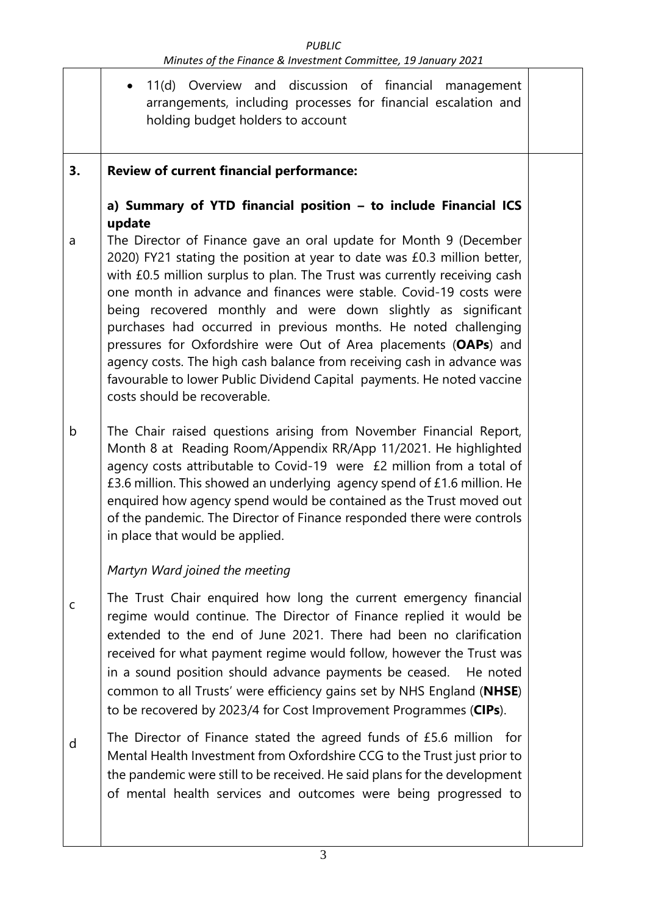| PUBLIC                                                         |  |
|----------------------------------------------------------------|--|
| Minutes of the Finance & Investment Committee, 19 January 2021 |  |

|    | 11(d) Overview and discussion of financial management<br>arrangements, including processes for financial escalation and<br>holding budget holders to account                                                                                                                                                                                                                                                                                                                                                                                                                                                                                                                                 |  |
|----|----------------------------------------------------------------------------------------------------------------------------------------------------------------------------------------------------------------------------------------------------------------------------------------------------------------------------------------------------------------------------------------------------------------------------------------------------------------------------------------------------------------------------------------------------------------------------------------------------------------------------------------------------------------------------------------------|--|
| 3. | <b>Review of current financial performance:</b>                                                                                                                                                                                                                                                                                                                                                                                                                                                                                                                                                                                                                                              |  |
|    | a) Summary of YTD financial position - to include Financial ICS<br>update                                                                                                                                                                                                                                                                                                                                                                                                                                                                                                                                                                                                                    |  |
| a  | The Director of Finance gave an oral update for Month 9 (December<br>2020) FY21 stating the position at year to date was £0.3 million better,<br>with £0.5 million surplus to plan. The Trust was currently receiving cash<br>one month in advance and finances were stable. Covid-19 costs were<br>being recovered monthly and were down slightly as significant<br>purchases had occurred in previous months. He noted challenging<br>pressures for Oxfordshire were Out of Area placements (OAPs) and<br>agency costs. The high cash balance from receiving cash in advance was<br>favourable to lower Public Dividend Capital payments. He noted vaccine<br>costs should be recoverable. |  |
| b  | The Chair raised questions arising from November Financial Report,<br>Month 8 at Reading Room/Appendix RR/App 11/2021. He highlighted<br>agency costs attributable to Covid-19 were £2 million from a total of<br>£3.6 million. This showed an underlying agency spend of £1.6 million. He<br>enquired how agency spend would be contained as the Trust moved out<br>of the pandemic. The Director of Finance responded there were controls<br>in place that would be applied.                                                                                                                                                                                                               |  |
|    | Martyn Ward joined the meeting                                                                                                                                                                                                                                                                                                                                                                                                                                                                                                                                                                                                                                                               |  |
| C  | The Trust Chair enquired how long the current emergency financial<br>regime would continue. The Director of Finance replied it would be<br>extended to the end of June 2021. There had been no clarification<br>received for what payment regime would follow, however the Trust was<br>in a sound position should advance payments be ceased.<br>He noted<br>common to all Trusts' were efficiency gains set by NHS England (NHSE)<br>to be recovered by 2023/4 for Cost Improvement Programmes (CIPs).                                                                                                                                                                                     |  |
| d  | The Director of Finance stated the agreed funds of £5.6 million for<br>Mental Health Investment from Oxfordshire CCG to the Trust just prior to<br>the pandemic were still to be received. He said plans for the development<br>of mental health services and outcomes were being progressed to                                                                                                                                                                                                                                                                                                                                                                                              |  |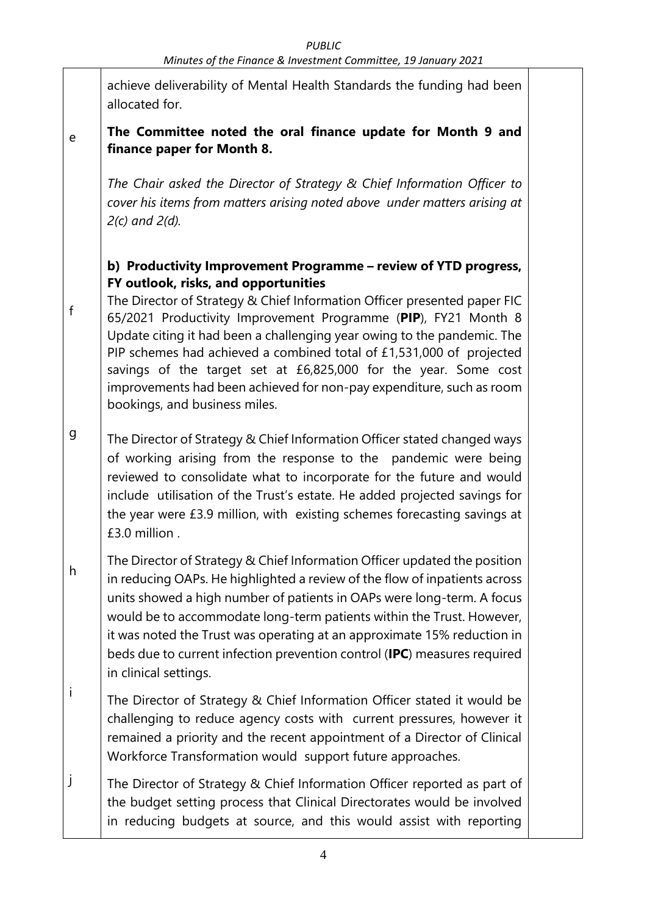achieve deliverability of Mental Health Standards the funding had been allocated for.

#### e **The Committee noted the oral finance update for Month 9 and finance paper for Month 8.**

*The Chair asked the Director of Strategy & Chief Information Officer to cover his items from matters arising noted above under matters arising at 2(c) and 2(d).*

### **b) Productivity Improvement Programme – review of YTD progress, FY outlook, risks, and opportunities**

The Director of Strategy & Chief Information Officer presented paper FIC 65/2021 Productivity Improvement Programme (**PIP**), FY21 Month 8 Update citing it had been a challenging year owing to the pandemic. The PIP schemes had achieved a combined total of £1,531,000 of projected savings of the target set at £6,825,000 for the year. Some cost improvements had been achieved for non-pay expenditure, such as room bookings, and business miles.

f

- g The Director of Strategy & Chief Information Officer stated changed ways of working arising from the response to the pandemic were being reviewed to consolidate what to incorporate for the future and would include utilisation of the Trust's estate. He added projected savings for the year were £3.9 million, with existing schemes forecasting savings at £3.0 million .
- h The Director of Strategy & Chief Information Officer updated the position in reducing OAPs. He highlighted a review of the flow of inpatients across units showed a high number of patients in OAPs were long-term. A focus would be to accommodate long-term patients within the Trust. However, it was noted the Trust was operating at an approximate 15% reduction in beds due to current infection prevention control (**IPC**) measures required in clinical settings.
- i The Director of Strategy & Chief Information Officer stated it would be challenging to reduce agency costs with current pressures, however it remained a priority and the recent appointment of a Director of Clinical Workforce Transformation would support future approaches.
- j The Director of Strategy & Chief Information Officer reported as part of the budget setting process that Clinical Directorates would be involved in reducing budgets at source, and this would assist with reporting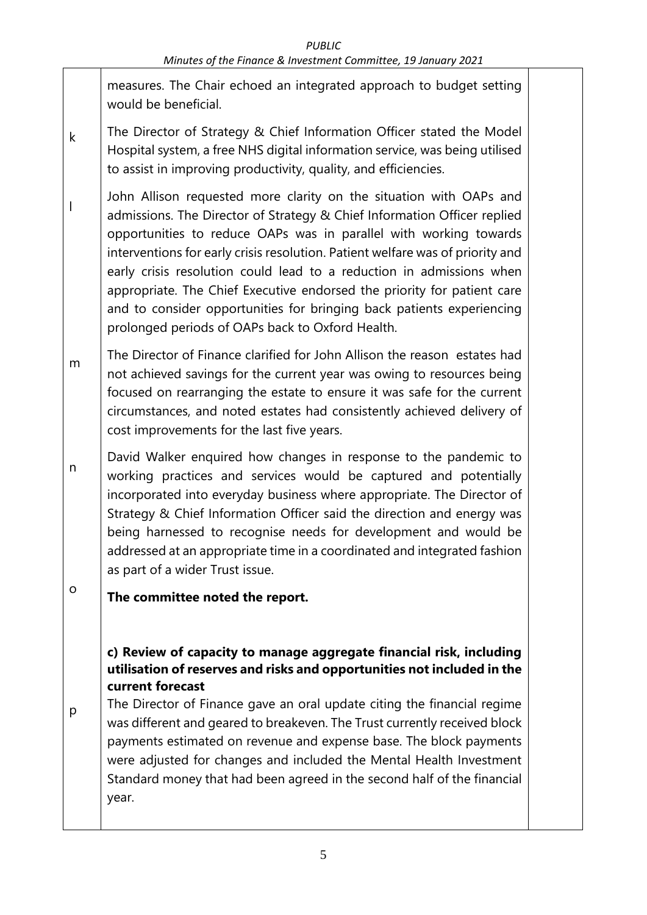measures. The Chair echoed an integrated approach to budget setting would be beneficial.

- k The Director of Strategy & Chief Information Officer stated the Model Hospital system, a free NHS digital information service, was being utilised to assist in improving productivity, quality, and efficiencies.
- l John Allison requested more clarity on the situation with OAPs and admissions. The Director of Strategy & Chief Information Officer replied opportunities to reduce OAPs was in parallel with working towards interventions for early crisis resolution. Patient welfare was of priority and early crisis resolution could lead to a reduction in admissions when appropriate. The Chief Executive endorsed the priority for patient care and to consider opportunities for bringing back patients experiencing prolonged periods of OAPs back to Oxford Health.
- m The Director of Finance clarified for John Allison the reason estates had not achieved savings for the current year was owing to resources being focused on rearranging the estate to ensure it was safe for the current circumstances, and noted estates had consistently achieved delivery of cost improvements for the last five years.
- n David Walker enquired how changes in response to the pandemic to working practices and services would be captured and potentially incorporated into everyday business where appropriate. The Director of Strategy & Chief Information Officer said the direction and energy was being harnessed to recognise needs for development and would be addressed at an appropriate time in a coordinated and integrated fashion as part of a wider Trust issue.
- o **The committee noted the report.**

### **c) Review of capacity to manage aggregate financial risk, including utilisation of reserves and risks and opportunities not included in the current forecast**

p The Director of Finance gave an oral update citing the financial regime was different and geared to breakeven. The Trust currently received block payments estimated on revenue and expense base. The block payments were adjusted for changes and included the Mental Health Investment Standard money that had been agreed in the second half of the financial year.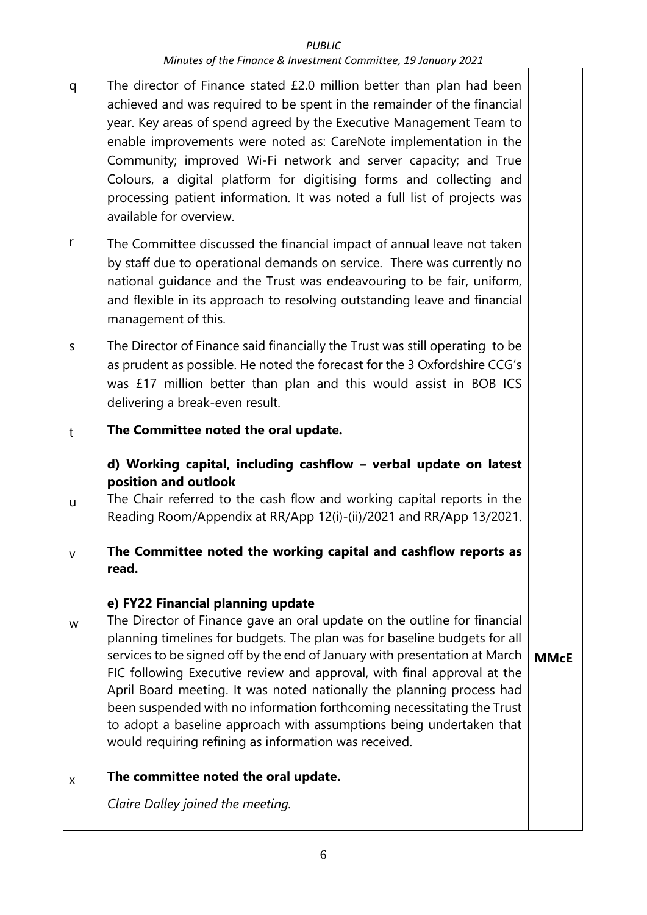#### *PUBLIC Minutes of the Finance & Investment Committee, 19 January 2021*

- q The director of Finance stated £2.0 million better than plan had been achieved and was required to be spent in the remainder of the financial year. Key areas of spend agreed by the Executive Management Team to enable improvements were noted as: CareNote implementation in the Community; improved Wi-Fi network and server capacity; and True Colours, a digital platform for digitising forms and collecting and processing patient information. It was noted a full list of projects was available for overview.
- r The Committee discussed the financial impact of annual leave not taken by staff due to operational demands on service. There was currently no national guidance and the Trust was endeavouring to be fair, uniform, and flexible in its approach to resolving outstanding leave and financial management of this.
- s The Director of Finance said financially the Trust was still operating to be as prudent as possible. He noted the forecast for the 3 Oxfordshire CCG's was £17 million better than plan and this would assist in BOB ICS delivering a break-even result.
- t **The Committee noted the oral update.**

#### **d) Working capital, including cashflow – verbal update on latest position and outlook**

- u The Chair referred to the cash flow and working capital reports in the Reading Room/Appendix at RR/App 12(i)-(ii)/2021 and RR/App 13/2021.
- v **The Committee noted the working capital and cashflow reports as read.**

#### **e) FY22 Financial planning update**

w The Director of Finance gave an oral update on the outline for financial planning timelines for budgets. The plan was for baseline budgets for all services to be signed off by the end of January with presentation at March FIC following Executive review and approval, with final approval at the April Board meeting. It was noted nationally the planning process had been suspended with no information forthcoming necessitating the Trust to adopt a baseline approach with assumptions being undertaken that would requiring refining as information was received. **MMcE**

#### x **The committee noted the oral update.**

*Claire Dalley joined the meeting.*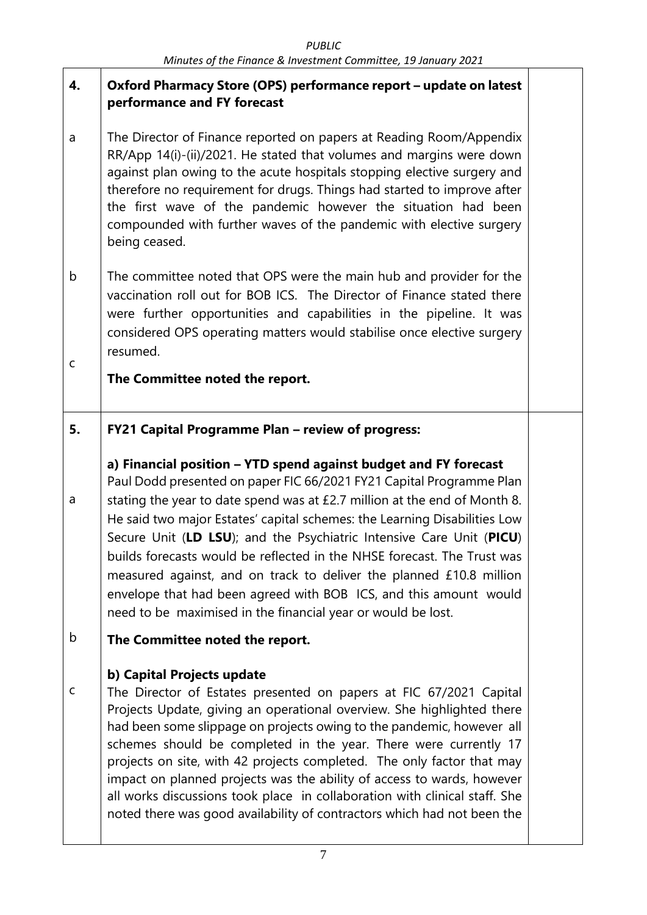#### **4. Oxford Pharmacy Store (OPS) performance report – update on latest performance and FY forecast**

- a The Director of Finance reported on papers at Reading Room/Appendix RR/App 14(i)-(ii)/2021. He stated that volumes and margins were down against plan owing to the acute hospitals stopping elective surgery and therefore no requirement for drugs. Things had started to improve after the first wave of the pandemic however the situation had been compounded with further waves of the pandemic with elective surgery being ceased.
- b c The committee noted that OPS were the main hub and provider for the vaccination roll out for BOB ICS. The Director of Finance stated there were further opportunities and capabilities in the pipeline. It was considered OPS operating matters would stabilise once elective surgery resumed.

## **The Committee noted the report.**

#### **5. FY21 Capital Programme Plan – review of progress:**

## **a) Financial position – YTD spend against budget and FY forecast** Paul Dodd presented on paper FIC 66/2021 FY21 Capital Programme Plan stating the year to date spend was at £2.7 million at the end of Month 8. He said two major Estates' capital schemes: the Learning Disabilities Low Secure Unit (**LD LSU**); and the Psychiatric Intensive Care Unit (**PICU**) builds forecasts would be reflected in the NHSE forecast. The Trust was measured against, and on track to deliver the planned £10.8 million envelope that had been agreed with BOB ICS, and this amount would need to be maximised in the financial year or would be lost.

#### b **The Committee noted the report.**

a

### **b) Capital Projects update**

c The Director of Estates presented on papers at FIC 67/2021 Capital Projects Update, giving an operational overview. She highlighted there had been some slippage on projects owing to the pandemic, however all schemes should be completed in the year. There were currently 17 projects on site, with 42 projects completed. The only factor that may impact on planned projects was the ability of access to wards, however all works discussions took place in collaboration with clinical staff. She noted there was good availability of contractors which had not been the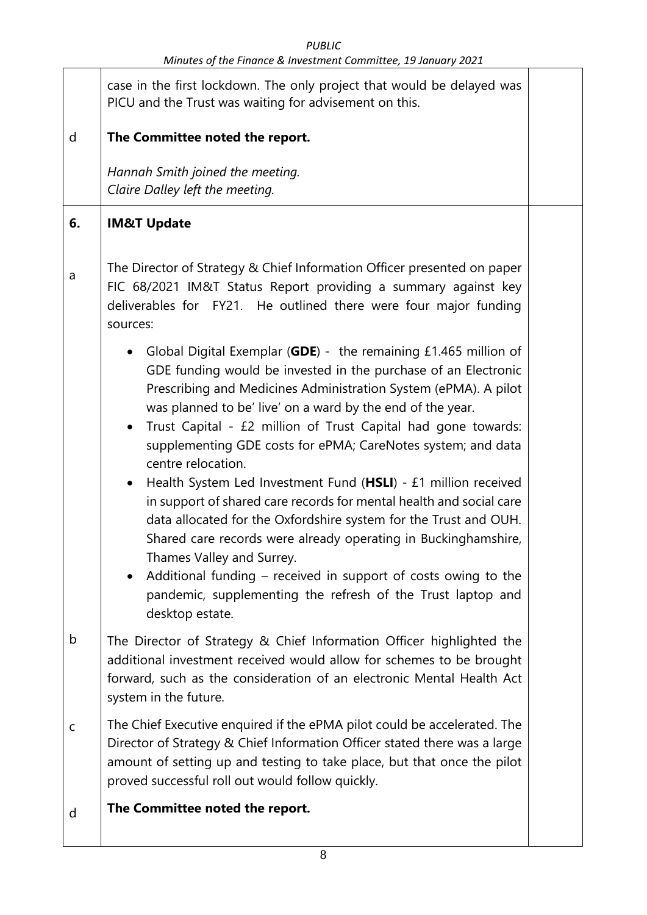|             | minutes by the immute of investment committee, is suitany zozi                                                                                                                                                                                                                                                                                                                                                                                                                                                                                                                                                                                                                                                                                                                                                                                                                                                |  |
|-------------|---------------------------------------------------------------------------------------------------------------------------------------------------------------------------------------------------------------------------------------------------------------------------------------------------------------------------------------------------------------------------------------------------------------------------------------------------------------------------------------------------------------------------------------------------------------------------------------------------------------------------------------------------------------------------------------------------------------------------------------------------------------------------------------------------------------------------------------------------------------------------------------------------------------|--|
|             | case in the first lockdown. The only project that would be delayed was<br>PICU and the Trust was waiting for advisement on this.                                                                                                                                                                                                                                                                                                                                                                                                                                                                                                                                                                                                                                                                                                                                                                              |  |
| d           | The Committee noted the report.                                                                                                                                                                                                                                                                                                                                                                                                                                                                                                                                                                                                                                                                                                                                                                                                                                                                               |  |
|             | Hannah Smith joined the meeting.<br>Claire Dalley left the meeting.                                                                                                                                                                                                                                                                                                                                                                                                                                                                                                                                                                                                                                                                                                                                                                                                                                           |  |
| 6.          | <b>IM&amp;T Update</b>                                                                                                                                                                                                                                                                                                                                                                                                                                                                                                                                                                                                                                                                                                                                                                                                                                                                                        |  |
| a           | The Director of Strategy & Chief Information Officer presented on paper<br>FIC 68/2021 IM&T Status Report providing a summary against key<br>deliverables for FY21. He outlined there were four major funding<br>sources:                                                                                                                                                                                                                                                                                                                                                                                                                                                                                                                                                                                                                                                                                     |  |
|             | Global Digital Exemplar (GDE) - the remaining $£1.465$ million of<br>٠<br>GDE funding would be invested in the purchase of an Electronic<br>Prescribing and Medicines Administration System (ePMA). A pilot<br>was planned to be' live' on a ward by the end of the year.<br>Trust Capital - £2 million of Trust Capital had gone towards:<br>$\bullet$<br>supplementing GDE costs for ePMA; CareNotes system; and data<br>centre relocation.<br>Health System Led Investment Fund (HSLI) - £1 million received<br>in support of shared care records for mental health and social care<br>data allocated for the Oxfordshire system for the Trust and OUH.<br>Shared care records were already operating in Buckinghamshire,<br>Thames Valley and Surrey.<br>Additional funding – received in support of costs owing to the<br>pandemic, supplementing the refresh of the Trust laptop and<br>desktop estate. |  |
| b           | The Director of Strategy & Chief Information Officer highlighted the<br>additional investment received would allow for schemes to be brought<br>forward, such as the consideration of an electronic Mental Health Act<br>system in the future.                                                                                                                                                                                                                                                                                                                                                                                                                                                                                                                                                                                                                                                                |  |
| $\mathsf C$ | The Chief Executive enquired if the ePMA pilot could be accelerated. The<br>Director of Strategy & Chief Information Officer stated there was a large<br>amount of setting up and testing to take place, but that once the pilot<br>proved successful roll out would follow quickly.                                                                                                                                                                                                                                                                                                                                                                                                                                                                                                                                                                                                                          |  |
| d           | The Committee noted the report.                                                                                                                                                                                                                                                                                                                                                                                                                                                                                                                                                                                                                                                                                                                                                                                                                                                                               |  |
|             |                                                                                                                                                                                                                                                                                                                                                                                                                                                                                                                                                                                                                                                                                                                                                                                                                                                                                                               |  |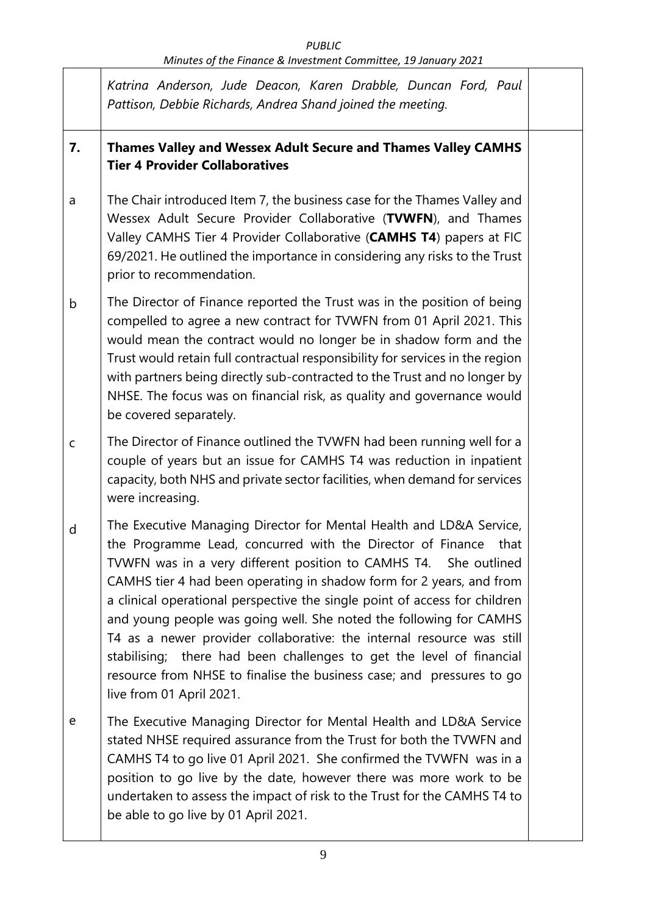*PUBLIC*

*Minutes of the Finance & Investment Committee, 19 January 2021*

 $\mathsf{r}$ 

|             | Katrina Anderson, Jude Deacon, Karen Drabble, Duncan Ford, Paul<br>Pattison, Debbie Richards, Andrea Shand joined the meeting.                                                                                                                                                                                                                                                                                                                                                                                                                                                                                                                                                                  |  |
|-------------|-------------------------------------------------------------------------------------------------------------------------------------------------------------------------------------------------------------------------------------------------------------------------------------------------------------------------------------------------------------------------------------------------------------------------------------------------------------------------------------------------------------------------------------------------------------------------------------------------------------------------------------------------------------------------------------------------|--|
| 7.          | Thames Valley and Wessex Adult Secure and Thames Valley CAMHS<br><b>Tier 4 Provider Collaboratives</b>                                                                                                                                                                                                                                                                                                                                                                                                                                                                                                                                                                                          |  |
| a           | The Chair introduced Item 7, the business case for the Thames Valley and<br>Wessex Adult Secure Provider Collaborative (TVWFN), and Thames<br>Valley CAMHS Tier 4 Provider Collaborative (CAMHS T4) papers at FIC<br>69/2021. He outlined the importance in considering any risks to the Trust<br>prior to recommendation.                                                                                                                                                                                                                                                                                                                                                                      |  |
| b           | The Director of Finance reported the Trust was in the position of being<br>compelled to agree a new contract for TVWFN from 01 April 2021. This<br>would mean the contract would no longer be in shadow form and the<br>Trust would retain full contractual responsibility for services in the region<br>with partners being directly sub-contracted to the Trust and no longer by<br>NHSE. The focus was on financial risk, as quality and governance would<br>be covered separately.                                                                                                                                                                                                          |  |
| $\mathsf C$ | The Director of Finance outlined the TVWFN had been running well for a<br>couple of years but an issue for CAMHS T4 was reduction in inpatient<br>capacity, both NHS and private sector facilities, when demand for services<br>were increasing.                                                                                                                                                                                                                                                                                                                                                                                                                                                |  |
| d           | The Executive Managing Director for Mental Health and LD&A Service,<br>the Programme Lead, concurred with the Director of Finance<br>that<br>TVWFN was in a very different position to CAMHS T4. She outlined<br>CAMHS tier 4 had been operating in shadow form for 2 years, and from<br>a clinical operational perspective the single point of access for children<br>and young people was going well. She noted the following for CAMHS<br>T4 as a newer provider collaborative: the internal resource was still<br>stabilising; there had been challenges to get the level of financial<br>resource from NHSE to finalise the business case; and pressures to go<br>live from 01 April 2021. |  |
| e           | The Executive Managing Director for Mental Health and LD&A Service<br>stated NHSE required assurance from the Trust for both the TVWFN and<br>CAMHS T4 to go live 01 April 2021. She confirmed the TVWFN was in a<br>position to go live by the date, however there was more work to be<br>undertaken to assess the impact of risk to the Trust for the CAMHS T4 to<br>be able to go live by 01 April 2021.                                                                                                                                                                                                                                                                                     |  |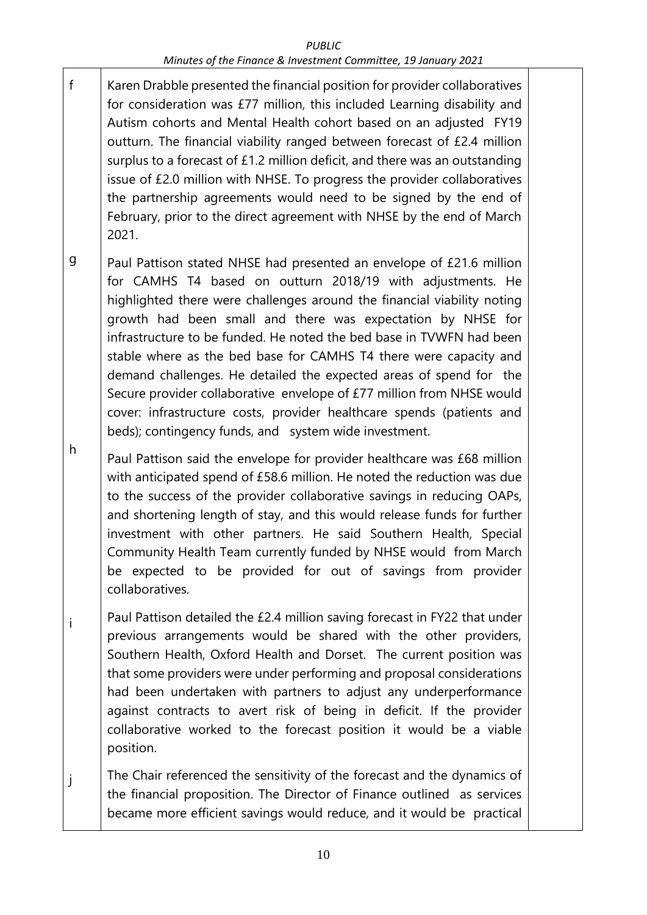#### *PUBLIC Minutes of the Finance & Investment Committee, 19 January 2021*

- f Karen Drabble presented the financial position for provider collaboratives for consideration was £77 million, this included Learning disability and Autism cohorts and Mental Health cohort based on an adjusted FY19 outturn. The financial viability ranged between forecast of £2.4 million surplus to a forecast of £1.2 million deficit, and there was an outstanding issue of £2.0 million with NHSE. To progress the provider collaboratives the partnership agreements would need to be signed by the end of February, prior to the direct agreement with NHSE by the end of March 2021.
- g Paul Pattison stated NHSE had presented an envelope of £21.6 million for CAMHS T4 based on outturn 2018/19 with adjustments. He highlighted there were challenges around the financial viability noting growth had been small and there was expectation by NHSE for infrastructure to be funded. He noted the bed base in TVWFN had been stable where as the bed base for CAMHS T4 there were capacity and demand challenges. He detailed the expected areas of spend for the Secure provider collaborative envelope of £77 million from NHSE would cover: infrastructure costs, provider healthcare spends (patients and beds); contingency funds, and system wide investment.

h Paul Pattison said the envelope for provider healthcare was £68 million with anticipated spend of £58.6 million. He noted the reduction was due to the success of the provider collaborative savings in reducing OAPs, and shortening length of stay, and this would release funds for further investment with other partners. He said Southern Health, Special Community Health Team currently funded by NHSE would from March be expected to be provided for out of savings from provider collaboratives.

i Paul Pattison detailed the £2.4 million saving forecast in FY22 that under previous arrangements would be shared with the other providers, Southern Health, Oxford Health and Dorset. The current position was that some providers were under performing and proposal considerations had been undertaken with partners to adjust any underperformance against contracts to avert risk of being in deficit. If the provider collaborative worked to the forecast position it would be a viable position.

j The Chair referenced the sensitivity of the forecast and the dynamics of the financial proposition. The Director of Finance outlined as services became more efficient savings would reduce, and it would be practical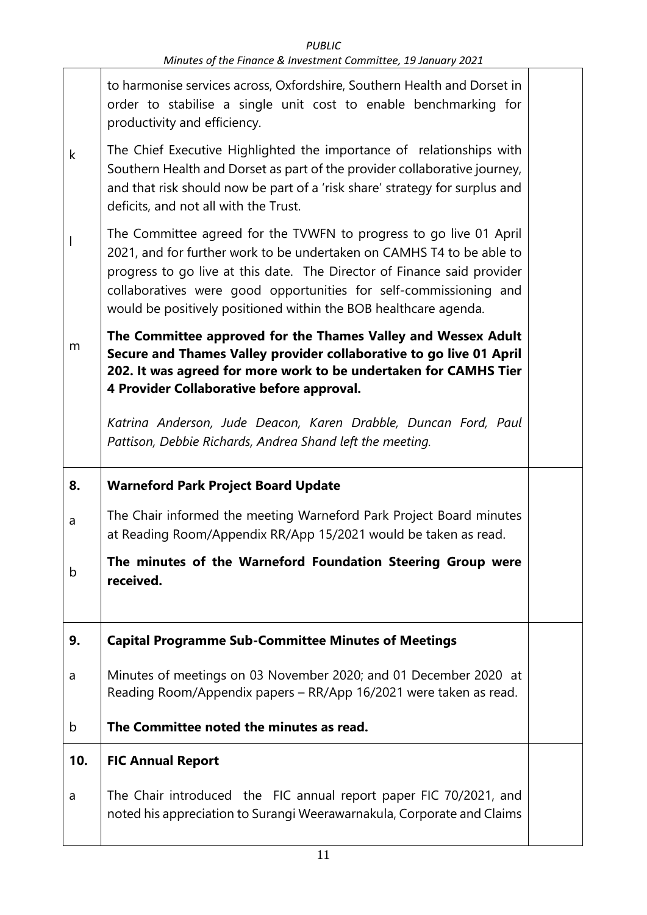|     | to harmonise services across, Oxfordshire, Southern Health and Dorset in<br>order to stabilise a single unit cost to enable benchmarking for<br>productivity and efficiency.                                                                                                                                                                                    |  |
|-----|-----------------------------------------------------------------------------------------------------------------------------------------------------------------------------------------------------------------------------------------------------------------------------------------------------------------------------------------------------------------|--|
| k   | The Chief Executive Highlighted the importance of relationships with<br>Southern Health and Dorset as part of the provider collaborative journey,<br>and that risk should now be part of a 'risk share' strategy for surplus and<br>deficits, and not all with the Trust.                                                                                       |  |
| I   | The Committee agreed for the TVWFN to progress to go live 01 April<br>2021, and for further work to be undertaken on CAMHS T4 to be able to<br>progress to go live at this date. The Director of Finance said provider<br>collaboratives were good opportunities for self-commissioning and<br>would be positively positioned within the BOB healthcare agenda. |  |
| m   | The Committee approved for the Thames Valley and Wessex Adult<br>Secure and Thames Valley provider collaborative to go live 01 April<br>202. It was agreed for more work to be undertaken for CAMHS Tier<br>4 Provider Collaborative before approval.                                                                                                           |  |
|     | Katrina Anderson, Jude Deacon, Karen Drabble, Duncan Ford, Paul<br>Pattison, Debbie Richards, Andrea Shand left the meeting.                                                                                                                                                                                                                                    |  |
|     |                                                                                                                                                                                                                                                                                                                                                                 |  |
| 8.  | <b>Warneford Park Project Board Update</b>                                                                                                                                                                                                                                                                                                                      |  |
| a   | The Chair informed the meeting Warneford Park Project Board minutes<br>at Reading Room/Appendix RR/App 15/2021 would be taken as read.                                                                                                                                                                                                                          |  |
| b   | The minutes of the Warneford Foundation Steering Group were<br>received.                                                                                                                                                                                                                                                                                        |  |
| 9.  | <b>Capital Programme Sub-Committee Minutes of Meetings</b>                                                                                                                                                                                                                                                                                                      |  |
| a   | Minutes of meetings on 03 November 2020; and 01 December 2020 at<br>Reading Room/Appendix papers - RR/App 16/2021 were taken as read.                                                                                                                                                                                                                           |  |
| b   | The Committee noted the minutes as read.                                                                                                                                                                                                                                                                                                                        |  |
| 10. | <b>FIC Annual Report</b>                                                                                                                                                                                                                                                                                                                                        |  |